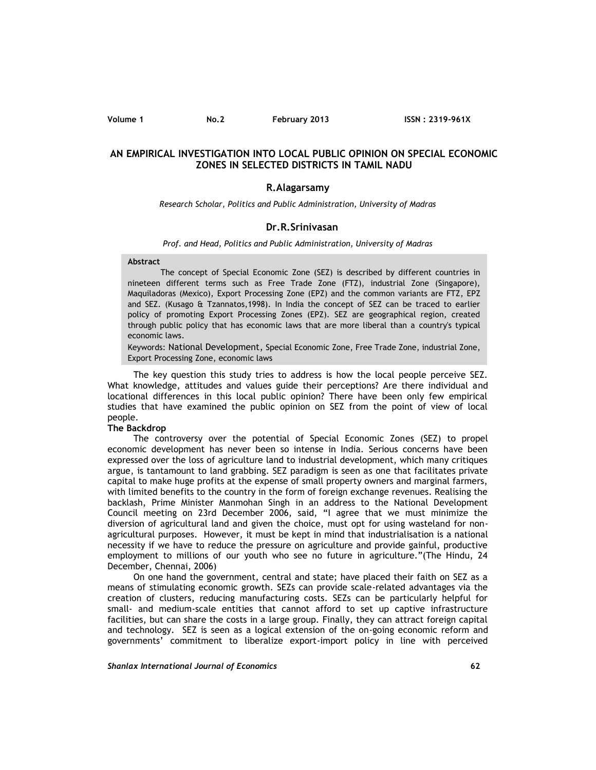### **Volume 1 No.2 February 2013 ISSN : 2319-961X**

# **AN EMPIRICAL INVESTIGATION INTO LOCAL PUBLIC OPINION ON SPECIAL ECONOMIC ZONES IN SELECTED DISTRICTS IN TAMIL NADU**

## **R.Alagarsamy**

*Research Scholar, Politics and Public Administration, University of Madras*

### **Dr.R.Srinivasan**

#### *Prof. and Head, Politics and Public Administration, University of Madras*

#### **Abstract**

The concept of Special Economic Zone (SEZ) is described by different countries in nineteen different terms such as Free Trade Zone (FTZ), industrial Zone (Singapore), Maquiladoras (Mexico), Export Processing Zone (EPZ) and the common variants are FTZ, EPZ and SEZ. (Kusago & Tzannatos,1998). In India the concept of SEZ can be traced to earlier policy of promoting Export Processing Zones (EPZ). SEZ are geographical region, created through public policy that has economic laws that are more liberal than a country's typical economic laws.

Keywords: National Development, Special Economic Zone, Free Trade Zone, industrial Zone, Export Processing Zone, economic laws

The key question this study tries to address is how the local people perceive SEZ. What knowledge, attitudes and values guide their perceptions? Are there individual and locational differences in this local public opinion? There have been only few empirical studies that have examined the public opinion on SEZ from the point of view of local people.

### **The Backdrop**

The controversy over the potential of Special Economic Zones (SEZ) to propel economic development has never been so intense in India. Serious concerns have been expressed over the loss of agriculture land to industrial development, which many critiques argue, is tantamount to land grabbing. SEZ paradigm is seen as one that facilitates private capital to make huge profits at the expense of small property owners and marginal farmers, with limited benefits to the country in the form of foreign exchange revenues. Realising the backlash, Prime Minister Manmohan Singh in an address to the National Development Council meeting on 23rd December 2006, said, "I agree that we must minimize the diversion of agricultural land and given the choice, must opt for using wasteland for non agricultural purposes. However, it must be kept in mind that industrialisation is a national necessity if we have to reduce the pressure on agriculture and provide gainful, productive employment to millions of our youth who see no future in agriculture."(The Hindu, 24 December, Chennai, 2006)

On one hand the government, central and state; have placed their faith on SEZ as a means of stimulating economic growth. SEZs can provide scale-related advantages via the creation of clusters, reducing manufacturing costs. SEZs can be particularly helpful for small- and medium-scale entities that cannot afford to set up captive infrastructure facilities, but can share the costs in a large group. Finally, they can attract foreign capital and technology. SEZ is seen as a logical extension of the on-going economic reform and governments' commitment to liberalize export-import policy in line with perceived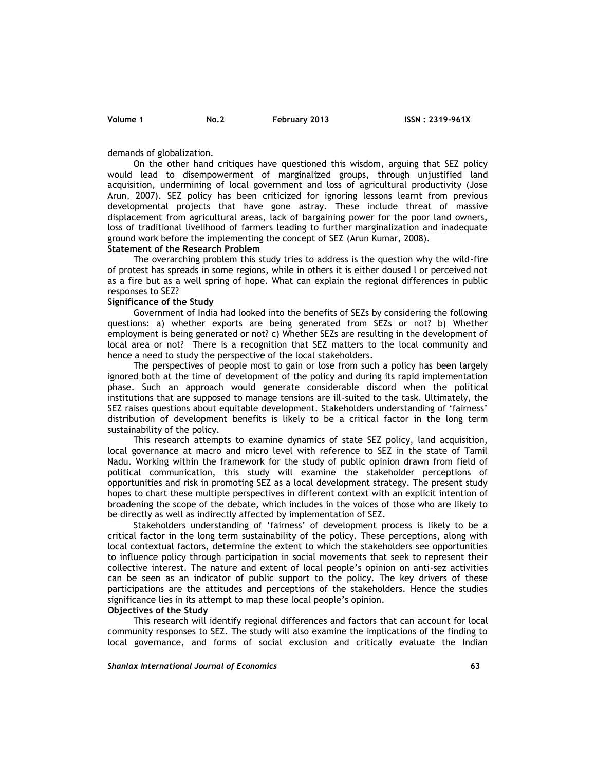demands of globalization.

On the other hand critiques have questioned this wisdom, arguing that SEZ policy would lead to disempowerment of marginalized groups, through unjustified land acquisition, undermining of local government and loss of agricultural productivity (Jose Arun, 2007). SEZ policy has been criticized for ignoring lessons learnt from previous developmental projects that have gone astray. These include threat of massive displacement from agricultural areas, lack of bargaining power for the poor land owners, loss of traditional livelihood of farmers leading to further marginalization and inadequate ground work before the implementing the concept of SEZ (Arun Kumar, 2008).

#### **Statement of the Research Problem**

The overarching problem this study tries to address is the question why the wild-fire of protest has spreads in some regions, while in others it is either doused l or perceived not as a fire but as a well spring of hope. What can explain the regional differences in public responses to SEZ?

#### **Significance of the Study**

Government of India had looked into the benefits of SEZs by considering the following questions: a) whether exports are being generated from SEZs or not? b) Whether employment is being generated or not? c) Whether SEZs are resulting in the development of local area or not? There is a recognition that SEZ matters to the local community and hence a need to study the perspective of the local stakeholders.

The perspectives of people most to gain or lose from such a policy has been largely ignored both at the time of development of the policy and during its rapid implementation phase. Such an approach would generate considerable discord when the political institutions that are supposed to manage tensions are ill-suited to the task. Ultimately, the SEZ raises questions about equitable development. Stakeholders understanding of 'fairness' distribution of development benefits is likely to be a critical factor in the long term sustainability of the policy.

This research attempts to examine dynamics of state SEZ policy, land acquisition, local governance at macro and micro level with reference to SEZ in the state of Tamil Nadu. Working within the framework for the study of public opinion drawn from field of political communication, this study will examine the stakeholder perceptions of opportunities and risk in promoting SEZ as a local development strategy. The present study hopes to chart these multiple perspectives in different context with an explicit intention of broadening the scope of the debate, which includes in the voices of those who are likely to be directly as well as indirectly affected by implementation of SEZ.

Stakeholders understanding of 'fairness' of development process is likely to be a critical factor in the long term sustainability of the policy. These perceptions, along with local contextual factors, determine the extent to which the stakeholders see opportunities to influence policy through participation in social movements that seek to represent their collective interest. The nature and extent of local people's opinion on anti-sez activities can be seen as an indicator of public support to the policy. The key drivers of these participations are the attitudes and perceptions of the stakeholders. Hence the studies significance lies in its attempt to map these local people's opinion.

**Objectives of the Study**

This research will identify regional differences and factors that can account for local community responses to SEZ. The study will also examine the implications of the finding to local governance, and forms of social exclusion and critically evaluate the Indian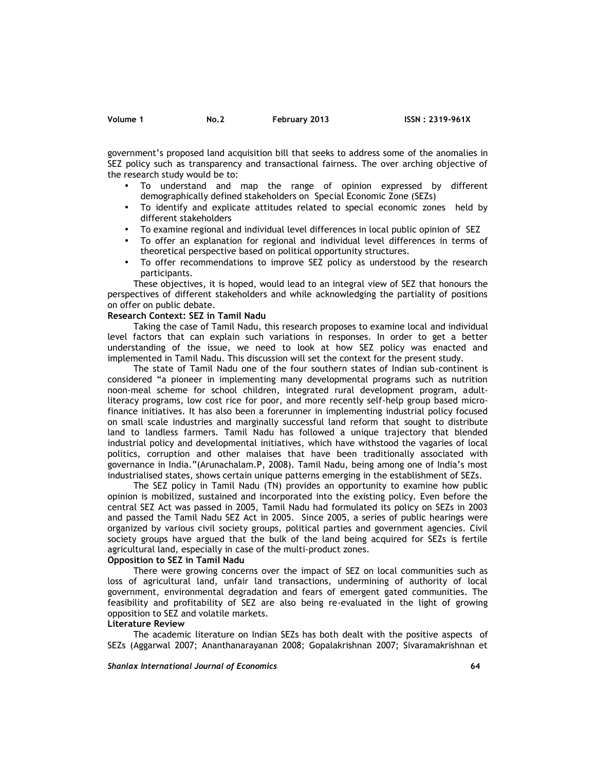government's proposed land acquisition bill that seeks to address some of the anomalies in SEZ policy such as transparency and transactional fairness. The over arching objective of the research study would be to:

- To understand and map the range of opinion expressed by different demographically defined stakeholders on Special Economic Zone (SEZs)
- To identify and explicate attitudes related to special economic zones held by different stakeholders
- To examine regional and individual level differences in local public opinion of SEZ
- To offer an explanation for regional and individual level differences in terms of theoretical perspective based on political opportunity structures.
- To offer recommendations to improve SEZ policy as understood by the research participants.

These objectives, it is hoped, would lead to an integral view of SEZ that honours the perspectives of different stakeholders and while acknowledging the partiality of positions on offer on public debate.

### **Research Context: SEZ in Tamil Nadu**

Taking the case of Tamil Nadu, this research proposes to examine local and individual level factors that can explain such variations in responses. In order to get a better understanding of the issue, we need to look at how SEZ policy was enacted and implemented in Tamil Nadu. This discussion will set the context for the present study.

The state of Tamil Nadu one of the four southern states of Indian sub-continent is considered "a pioneer in implementing many developmental programs such as nutrition noon-meal scheme for school children, integrated rural development program, adultliteracy programs, low cost rice for poor, and more recently self-help group based micro finance initiatives. It has also been a forerunner in implementing industrial policy focused on small scale industries and marginally successful land reform that sought to distribute land to landless farmers. Tamil Nadu has followed a unique trajectory that blended industrial policy and developmental initiatives, which have withstood the vagaries of local politics, corruption and other malaises that have been traditionally associated with governance in India."(Arunachalam.P, 2008). Tamil Nadu, being among one of India's most industrialised states, shows certain unique patterns emerging in the establishment of SEZs.

The SEZ policy in Tamil Nadu (TN) provides an opportunity to examine how public opinion is mobilized, sustained and incorporated into the existing policy. Even before the central SEZ Act was passed in 2005, Tamil Nadu had formulated its policy on SEZs in 2003 and passed the Tamil Nadu SEZ Act in 2005. Since 2005, a series of public hearings were organized by various civil society groups, political parties and government agencies. Civil society groups have argued that the bulk of the land being acquired for SEZs is fertile agricultural land, especially in case of the multi-product zones.

# **Opposition to SEZ in Tamil Nadu**

There were growing concerns over the impact of SEZ on local communities such as loss of agricultural land, unfair land transactions, undermining of authority of local government, environmental degradation and fears of emergent gated communities. The feasibility and profitability of SEZ are also being re-evaluated in the light of growing opposition to SEZ and volatile markets.

### **Literature Review**

The academic literature on Indian SEZs has both dealt with the positive aspects of SEZs (Aggarwal 2007; Ananthanarayanan 2008; Gopalakrishnan 2007; Sivaramakrishnan et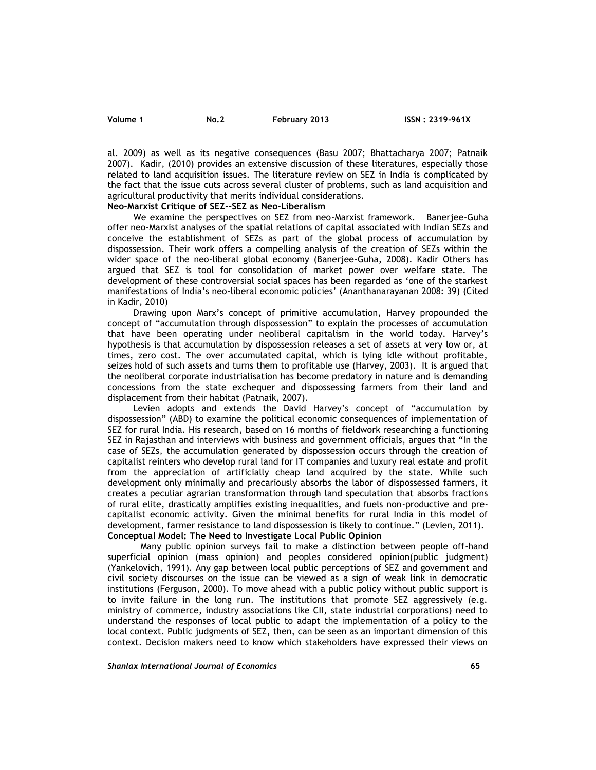al. 2009) as well as its negative consequences (Basu 2007; Bhattacharya 2007; Patnaik 2007). Kadir, (2010) provides an extensive discussion of these literatures, especially those related to land acquisition issues. The literature review on SEZ in India is complicated by the fact that the issue cuts across several cluster of problems, such as land acquisition and agricultural productivity that merits individual considerations.

# **Neo-Marxist Critique of SEZ--SEZ as Neo-Liberalism**

We examine the perspectives on SEZ from neo-Marxist framework. Banerjee-Guha offer neo-Marxist analyses of the spatial relations of capital associated with Indian SEZs and conceive the establishment of SEZs as part of the global process of accumulation by dispossession. Their work offers a compelling analysis of the creation of SEZs within the wider space of the neo-liberal global economy (Banerjee-Guha, 2008). Kadir Others has argued that SEZ is tool for consolidation of market power over welfare state. The development of these controversial social spaces has been regarded as 'one of the starkest manifestations of India's neo-liberal economic policies' (Ananthanarayanan 2008: 39) (Cited in Kadir, 2010)

Drawing upon Marx's concept of primitive accumulation, Harvey propounded the concept of "accumulation through dispossession" to explain the processes of accumulation that have been operating under neoliberal capitalism in the world today. Harvey's hypothesis is that accumulation by dispossession releases a set of assets at very low or, at times, zero cost. The over accumulated capital, which is lying idle without profitable, seizes hold of such assets and turns them to profitable use (Harvey, 2003). It is argued that the neoliberal corporate industrialisation has become predatory in nature and is demanding concessions from the state exchequer and dispossessing farmers from their land and displacement from their habitat (Patnaik, 2007).

Levien adopts and extends the David Harvey's concept of "accumulation by dispossession" (ABD) to examine the political economic consequences of implementation of SEZ for rural India. His research, based on 16 months of fieldwork researching a functioning SEZ in Rajasthan and interviews with business and government officials, argues that "In the case of SEZs, the accumulation generated by dispossession occurs through the creation of capitalist reinters who develop rural land for IT companies and luxury real estate and profit from the appreciation of artificially cheap land acquired by the state. While such development only minimally and precariously absorbs the labor of dispossessed farmers, it creates a peculiar agrarian transformation through land speculation that absorbs fractions of rural elite, drastically amplifies existing inequalities, and fuels non-productive and pre capitalist economic activity. Given the minimal benefits for rural India in this model of development, farmer resistance to land dispossession is likely to continue." (Levien, 2011). **Conceptual Model: The Need to Investigate Local Public Opinion**

Many public opinion surveys fail to make a distinction between people off-hand superficial opinion (mass opinion) and peoples considered opinion(public judgment) (Yankelovich, 1991). Any gap between local public perceptions of SEZ and government and civil society discourses on the issue can be viewed as a sign of weak link in democratic institutions (Ferguson, 2000). To move ahead with a public policy without public support is to invite failure in the long run. The institutions that promote SEZ aggressively (e.g. ministry of commerce, industry associations like CII, state industrial corporations) need to understand the responses of local public to adapt the implementation of a policy to the local context. Public judgments of SEZ, then, can be seen as an important dimension of this context. Decision makers need to know which stakeholders have expressed their views on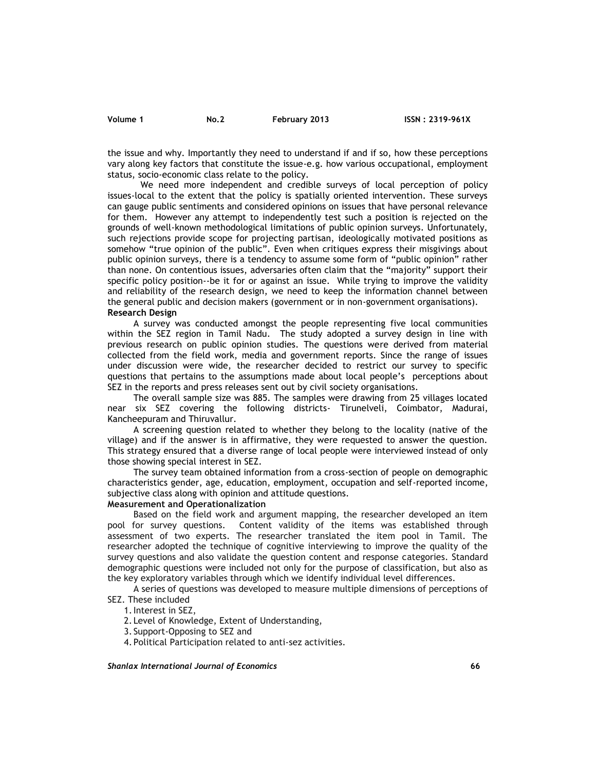the issue and why. Importantly they need to understand if and if so, how these perceptions vary along key factors that constitute the issue-e.g. how various occupational, employment status, socio-economic class relate to the policy.

We need more independent and credible surveys of local perception of policy issues-local to the extent that the policy is spatially oriented intervention. These surveys can gauge public sentiments and considered opinions on issues that have personal relevance for them. However any attempt to independently test such a position is rejected on the grounds of well-known methodological limitations of public opinion surveys. Unfortunately, such rejections provide scope for projecting partisan, ideologically motivated positions as somehow "true opinion of the public". Even when critiques express their misgivings about public opinion surveys, there is a tendency to assume some form of "public opinion" rather than none. On contentious issues, adversaries often claim that the "majority" support their specific policy position--be it for or against an issue. While trying to improve the validity and reliability of the research design, we need to keep the information channel between the general public and decision makers (government or in non-government organisations). **Research Design**

A survey was conducted amongst the people representing five local communities within the SEZ region in Tamil Nadu. The study adopted a survey design in line with previous research on public opinion studies. The questions were derived from material collected from the field work, media and government reports. Since the range of issues under discussion were wide, the researcher decided to restrict our survey to specific questions that pertains to the assumptions made about local people's perceptions about SEZ in the reports and press releases sent out by civil society organisations.

The overall sample size was 885. The samples were drawing from 25 villages located near six SEZ covering the following districts- Tirunelveli, Coimbator, Madurai, Kancheepuram and Thiruvallur.

A screening question related to whether they belong to the locality (native of the village) and if the answer is in affirmative, they were requested to answer the question. This strategy ensured that a diverse range of local people were interviewed instead of only those showing special interest in SEZ.

The survey team obtained information from a cross-section of people on demographic characteristics gender, age, education, employment, occupation and self-reported income, subjective class along with opinion and attitude questions.

# **Measurement and Operationalization**

Based on the field work and argument mapping, the researcher developed an item pool for survey questions. Content validity of the items was established through assessment of two experts. The researcher translated the item pool in Tamil. The researcher adopted the technique of cognitive interviewing to improve the quality of the survey questions and also validate the question content and response categories. Standard demographic questions were included not only for the purpose of classification, but also as the key exploratory variables through which we identify individual level differences.

A series of questions was developed to measure multiple dimensions of perceptions of SEZ. These included

1.Interest in SEZ,

2. Level of Knowledge, Extent of Understanding,

3. Support-Opposing to SEZ and

4. Political Participation related to anti-sez activities.

*Shanlax International Journal of Economics* **66**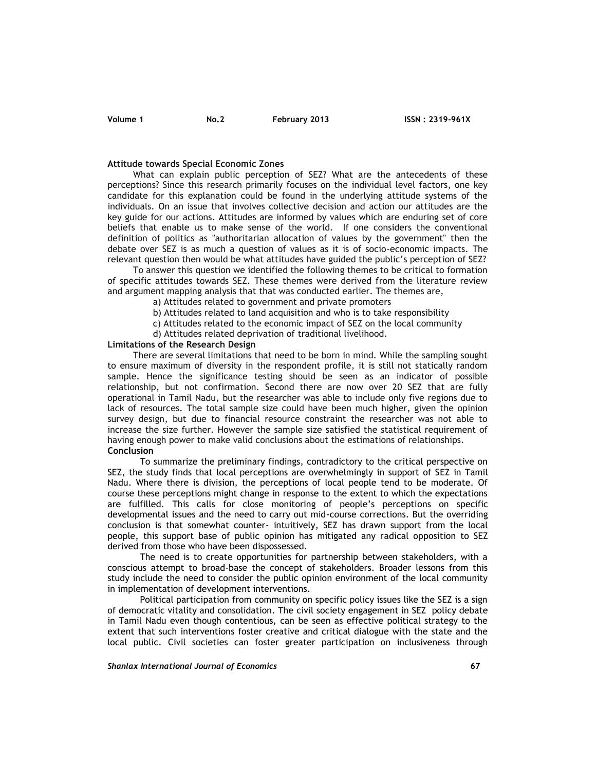#### **Attitude towards Special Economic Zones**

What can explain public perception of SEZ? What are the antecedents of these perceptions? Since this research primarily focuses on the individual level factors, one key candidate for this explanation could be found in the underlying attitude systems of the individuals. On an issue that involves collective decision and action our attitudes are the key guide for our actions. Attitudes are informed by values which are enduring set of core beliefs that enable us to make sense of the world. If one considers the conventional definition of politics as "authoritarian allocation of values by the government" then the debate over SEZ is as much a question of values as it is of socio-economic impacts. The relevant question then would be what attitudes have guided the public's perception of SEZ?

To answer this question we identified the following themes to be critical to formation of specific attitudes towards SEZ. These themes were derived from the literature review and argument mapping analysis that that was conducted earlier. The themes are,

a) Attitudes related to government and private promoters

b) Attitudes related to land acquisition and who is to take responsibility

c) Attitudes related to the economic impact of SEZ on the local community

d) Attitudes related deprivation of traditional livelihood.

### **Limitations of the Research Design**

There are several limitations that need to be born in mind. While the sampling sought to ensure maximum of diversity in the respondent profile, it is still not statically random sample. Hence the significance testing should be seen as an indicator of possible relationship, but not confirmation. Second there are now over 20 SEZ that are fully operational in Tamil Nadu, but the researcher was able to include only five regions due to lack of resources. The total sample size could have been much higher, given the opinion survey design, but due to financial resource constraint the researcher was not able to increase the size further. However the sample size satisfied the statistical requirement of having enough power to make valid conclusions about the estimations of relationships. **Conclusion**

To summarize the preliminary findings, contradictory to the critical perspective on SEZ, the study finds that local perceptions are overwhelmingly in support of SEZ in Tamil Nadu. Where there is division, the perceptions of local people tend to be moderate. Of course these perceptions might change in response to the extent to which the expectations are fulfilled. This calls for close monitoring of people's perceptions on specific developmental issues and the need to carry out mid-course corrections. But the overriding conclusion is that somewhat counter- intuitively, SEZ has drawn support from the local people, this support base of public opinion has mitigated any radical opposition to SEZ derived from those who have been dispossessed.

The need is to create opportunities for partnership between stakeholders, with a conscious attempt to broad-base the concept of stakeholders. Broader lessons from this study include the need to consider the public opinion environment of the local community in implementation of development interventions.

Political participation from community on specific policy issues like the SEZ is a sign of democratic vitality and consolidation. The civil society engagement in SEZ policy debate in Tamil Nadu even though contentious, can be seen as effective political strategy to the extent that such interventions foster creative and critical dialogue with the state and the local public. Civil societies can foster greater participation on inclusiveness through